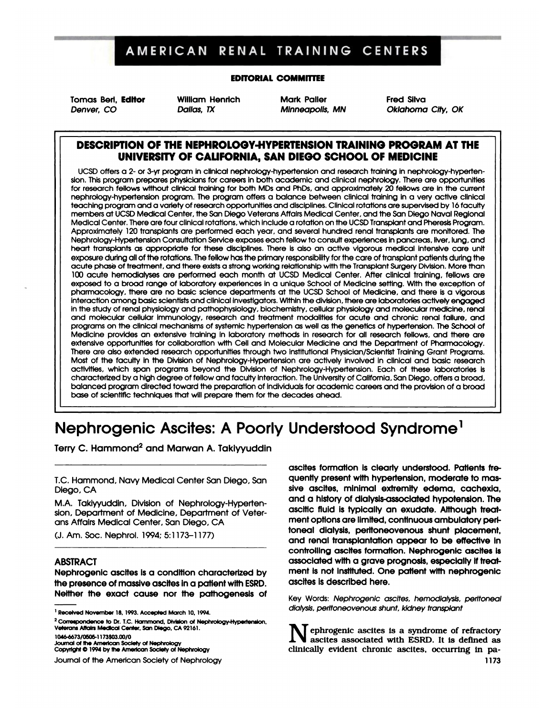# A MERICAN RENAL TRAINING CENTERS<br>EDITORIAL COMMITTEE AMERICAN RENAL IRAINING CENIERS<br>
EDITORIAL COMMITTEE<br>
Tomas Berl, Editor Milliam Henrich Mark Paller Fred Silva<br>
Denver, CO Dallas, TX Minneapolis, MN Oklahoma City, 0

**EDITORIAL COMMITTEE<br>2011 - Tomas Berl, Editor Milliam Henrich Mark Paller Fred Silva<br>2012 - Dallas, TX Minneapolis, MN Oklahoma City, OK** 

# DESCRIPTION OF THE NEPHROLOGY-HYPERTENSION TRAINING PROGRAM AT THE<br>
UNIVERSITY OF CALIFORNIA, SAN DIEGO SCHOOL OF MEDICINE Editor William Henrich Mark Paller Fred Silva<br>Dallas, TX Minneapolis, MN Oklahoma City, OK<br>**UNIVERSITY OF CALIFORNIA, SAN DIEGO SCHOOL OF MEDICINE**<br>UNIVERSITY OF CALIFORNIA, SAN DIEGO SCHOOL OF MEDICINE<br>Single of 3-yr prog UCSD offers a 2- or 3-yr program in clinical nephrology-hypertension and research training in nephrology-hypertension and research training in nephrology-hypertension and research training in nephrology-hypertension and re

**DESCRIPTION OF THE NEPHROLOGY-HYPERTENSION TRAINING PROGRAM AT THE<br>UNIVERSITY OF CALIFORNIA, SAN DIEGO SCHOOL OF MEDICINE**<br>UCSD offers a 2- or 3-yr program in clinical nephrology-hypertension and research training in neph For research fellows without clinical training for both MDs and PhDs, and approximately 20 fellows are in the current nephrology-hypertension. This program prepares physicians for careers in both academic and clinical neph UNIVERSITY OF GALIFORNIA, SAN DIEGO SCHOOL OF MEDICINE<br>UCSD offers a 2- or 3-yr program in clinical nephrology-hypertension and research training in nephrology-hyperten-<br>sion. This program prepares physicians for careers i UCSD offers a 2- or 3-yr program in clinical nephrology-hypertension and research training in nephrology-hypertension. This program prepares physicians for careers in both academic and clinical nephrology. There are opport sion. This program prepares physicians for careers in both academic and clinical nephrology. There are opportunities<br>for research fellows without clinical training for both MDs and PhDs, and approximately 20 fellows are in Medical Center. There are four clinical training for both MDs and PhDs, and approximately 20 fellows are in the current mephrology-hypertension program. The program offers a balance between clinical training in a very acti Approximately 120 transplants are performed each year. and several hundred renal training in a very active clinical<br>Approximately 120 transplants are performed each year. Affairs Medical Center, and the San Diego Naval Reg Nephrology-Hypertension Consultation Service exposes each fellow to consult experiments are supervised by 16 faculty<br>Medical Center. There are four clinical rotations, which include a rotation on the UCSD Transplant and Ph nombers at UCSD Medical Center, the San Diego Veterans Affairs Medical Center, and the San Diego Naval Regional<br>Medical Center. There are four clinical rotations, which include a rotation on the UCSD Transplant and Pheresk Medical Center. There are four clinical rotations, which include a rotation on the UCSD Transplant and Pheresis Program.<br>Approximately 120 transplants are performed each year, and several hundred renal transplants are moni Approximately 120 transplants are performed each year, and several hundred renal transplants are monitored. The<br>Nephrology-Hypertension Consultation Service exposes each fellow to consult experiences in pancreas, liver, lu Nephrology-Hypertension Consultation Service exposes each fellow to consult experiences in pancreas, liver, lung, and<br>heart transplants as appropriate for these disciplines. There is also an active vigorous medical intensi exposure during all of the rotations. The fellow has the primary responsibility for the care of transplant patients during the acute phase of treatment, and there exists a strong working relationship with the Transplant Su in the study of renal physiology and pathophysiology, biochemistry, cellular physiology and molecular medicine, renal in the study of renal physiology, there are no basic science departments at the UCSD School of Medicine and modial behaviors, and reformed each month of UCSD Medical Center. After clinical training, fellows are exposed to a broad range of laboratory experiences in a unique School of Medicine setting. With the exception of ph extensive opportunities for collaboration with Cell and Molecular Medicine and molecular medicine, renewall and molecular cellular immunology, research and treatment modalities for acute and chronic renal failure, and mole The state in the did in the puring the particle and the children in the presence of the control and programs on the clinical mechanisms of systemic hypertension as well as the genetics of hypertension. The School of Medici and most of the clinical mechanisms of systemic hypertension as well as the genetics of hypertension. The School of Medicine provides an extensive facing in laboratory methods in research for all research fellows, and ther Medicine provides an extensive training in laboratory methods in research for all research fellows, and there are<br>extensive opportunities for collaboration with Cell and Molecular Medicine and the Department of Pharmacolog extensive opportunities for collaboration with Cell and Molecular Medicine and the Department of Pharmacology.<br>There are also extended research opportunities through two institutional Physician/Scientist Training Grant Pro There are also extended research opportunities through two institutional PhysiMost of the faculty in the Division of Nephrology-Hypertension are actively in activities, which span programs beyond the Division of Nephrology extensive opportunities for collaboration with Cell and Molecular Medicine and the Department of Pharmacology.<br>
There are also extended research opportunities through two institutional Physician/Scientist Training Grant Pr

# Terry C. Hammond2 and Marwan A. Takiyyuddin **\_\_\_\_\_\_\_\_\_**- - -- ascites formation is clearly understood. Patients fre-

(J. Am. Soc. Nephrol. 1994; 5:1173–1177) and renal transplantation controlling ascites formation<br>
ABSTRACT associated with a grave pro<br>
Nephrogenic ascites is a condition characterized by ment is not instituted. One p<br>
the

TO. Hammond, Navy Medical Center San Diego, San quently present with hypertension, moderate to mas-Diego, CA sive ascites, minimal extremity edema, cachexia, M. T.C. Hammond, Navy Medical Center San Diego, San a sive ascites formation is clearly understood. Patients frequently at the section of Nephrology-Hyperten-<br>M.A. Takiyyuddin, Division of Nephrology-Hyperten- and a histor Since is communion is cleany understood. Pallents inc.<br>C. Hammond, Navy Medical Center San Diego, San a quently present with hypertension, moderate to mas<br>Diego, CA sive ascites, minimal extremity edema, cachexic<br>M.A. Taki F.C. Hammond, Navy Medical Center San Diego, San Dienny present with nypertension, moderate to mas<br>Diego, CA sive ascites, minimal extremity edema, cachexia,<br>M.A. Takiyyuddin, Division of Nephrology-Hyperten-<br>sion, Departm The ment optics in the ment of the ment of the ment of the ment of the ment of the ment of the ment of the ment of the ment of the ment of the ment of the ment of the ment of the ment of the ment of the ment of the ment of Franch of Medicine, Department of Veter-<br>Internet of Medicine, Department of Veter-<br>Medical Center, San Diego, CA<br>
2. Nephrol. 1994; 5:1173–1177)<br>
2. Nephrol. 1994; 5:1173–1177)<br>
2. Nephrogenic ascites is<br>
2. Nephrogenic a Sion, Department of Medicine, Department of Veleticum and profite on the controlling and female and transplantation appear to be effective in<br>ABSTRACT<br>ABSTRACT respective is a condition characterized by the ment is not ins (J. Am. Soc. Nephrol. 1994; 5:1173–1177) toneal dialysis, peritoneovenous shunt placement,<br>and renal transplantation appear to be effective in<br>controlling ascites formation. Nephrogenic ascites is<br>ABSTRACT associated with ABSTRACT<br>
Mephrogenic ascites is a condition characterized by<br>
the presence of massive ascites in a patient with ESRD.<br>
Neither the exact cause nor the pathogenesis of<br>
Received November 18, 1993. Accepted March 10, 1994.<br>

The presence of massive ascries in a patient with ESRD.<br>
Neither the exact cause nor the pathogenesis of<br>
<sup>1</sup> Received November 18, 1993. Accepted March 10, 1994.<br>
<sup>2</sup> Correspondence to Dr. T.C. Hammond, Division of Nephro **Solution Accepted March 10, 1994.**<br> **ILISO FROM ACCEPTED ASCRIPS ASSOCIATED ASCRIPS ASSOCIATED ASCRIPS ANOTHER ASSOCIATED ASCRIPS ANOTHER ASSOCIATED ASSOCIATED ASSOCIATED AS Solution of Nephrology<br>
<b>IM an Diego, CA 92161.** Example of Nephrology and Clinically evident chronic ascites, occurring in pa-<br>
Peceived November 18, 1993. Accepted March 10, 1994.<br>
Peterans Aftairs Medical Center, San Diego, CA 92161.<br>
Peterans Aftairs Medical Center, Express Affairs Medical Center, San Diego, CA 92161.<br>
Veterans Affairs Medical Center, San Diego, CA 92161.<br>
Journal of the American Society of Nephrology<br>
Journal of the American Society of Nephrology<br>
Journal of the Amer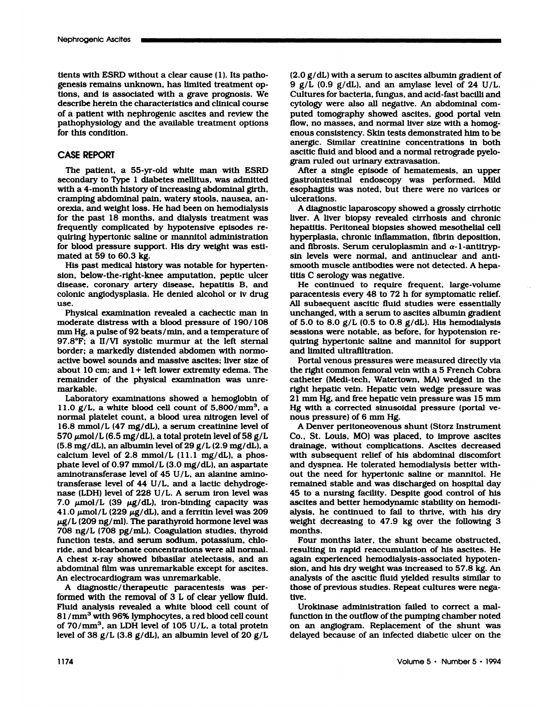tients with ESRD without a clear cause (1). Its patho-<br>genesis remains unknown, has limited treatment opreprinciple receives<br>tients with ESRD without a clear cause (1). Its patho-<br>genesis remains unknown, has limited treatment op-<br>tions, and is associated with a grave prognosis. We tients with ESRD without a clear cause (1). Its patho-<br>genesis remains unknown, has limited treatment op-<br>tions, and is associated with a grave prognosis. We<br>describe herein the characteristics and clinical course tients with ESRD without a clear cause (1). Its pathogenesis remains unknown, has limited treatment options, and is associated with a grave prognosis. We describe herein the characteristics and clinical course of a patient tients with ESRD without a clear cause (1). Its patho-<br>genesis remains unknown, has limited treatment op-<br>tions, and is associated with a grave prognosis. We<br>describe herein the characteristics and clinical course<br>of a pat genesis remains unknown, has imited treatment op-<br>tions, and is associated with a grave prognosis. We<br>describe herein the characteristics and clinical course<br>of a patient with nephrogenic ascites and review the<br>pathophysio describe herein the characteristics and clinical course<br>of a patient with nephrogenic ascites and review the<br>pathophysiology and the available treatment options<br>for this condition.<br>CASE REPORT<br>The patient, a 55-yr-old whit

r this condition.<br>
ASE REPORT as<br>
The patient, a 55-yr-old white man with ESRD as<br>
condary to Type 1 diabetes mellitus, was admitted ga CASE REPORT<br>The patient, a 55-yr-old white man with ESRD<br>secondary to Type 1 diabetes mellitus, was admitted<br>with a 4-month history of increasing abdominal girth,<br>cramping abdominal pain, watery stools, nausea, an-CASE KEPORT<br>The patient, a 55-yr-old white man with ESRD<br>secondary to Type 1 diabetes mellitus, was admitted<br>with a 4-month history of increasing abdominal girth,<br>cramping abdominal pain, watery stools, nausea, an-<br>orexia, The patient, a 55-yr-old white man with ESRD<br>secondary to Type 1 diabetes mellitus, was admitted<br>with a 4-month history of increasing abdominal girth,<br>cramping abdominal pain, watery stools, nausea, an-<br>orexia, and weight with a 4-month history of increasing abdominal girth, with a 4-month history of increasing abdominal girth,<br>cramping abdominal pain, watery stools, nausea, an-<br>orexia, and weight loss. He had been on hemodialysis<br>for the past 18 months, and dialysis treatment was<br>frequently c orexia, and weight loss. He had been on hemodialysis<br>for the past 18 months, and dialysis treatment was<br>frequently complicated by hypotensive episodes re-<br>quiring hypertonic saline or mannitol administration<br>for blood pres for the past 18 months, and dialysis treatment was<br>frequently complicated by hypotensive episodes re-<br>quiring hypertonic saline or mannitol administration<br>for blood pressure support. His dry weight was esti-<br>mated at 59 to frequently complicated by hypotensive episodes requiring hypertonic saline or mannitol administration<br>for blood pressure support. His dry weight was esti-<br>mated at 59 to 60.3 kg.<br>His past medical history was notable for hy for blood pressure support. His dry weight was esti-

for blood pressure support. His dry weight was esti-<br>mated at 59 to 60.3 kg.<br>His past medical history was notable for hyperten-<br>sion, below-the-right-knee amputation, peptic ulcer<br>disease, coronary artery disease, hepatiti mated at 59 to 60.3 kg.<br>
His past medical history was notable for hypertension, below-the-right-knee amputation, peptic ulcer<br>
disease, coronary artery disease, hepatitis B, and<br>
colonic angiodysplasia. He denied alcohol o

sion, below-the-right-knee amputation, peptic ulcer<br>disease, coronary artery disease, hepatitis B, and<br>colonic anglodysplasia. He denied alcohol or iv drug<br>use.<br>Physical examination revealed a cachectic man in<br>moderate dis use.<br>
97.8% Physical examination revealed a cachectic man in<br>
moderate distress with a blood pressure of 190/108<br>
mm Hg, a pulse of 92 beats/min, and a temperature of<br>
97.8°F; a II/VI systolic murmur at the left sternal<br>
b moderate distress with a blood pressure of 190/108<br>mm Hg, a pulse of 92 beats/min, and a temperature of<br>97.8°F; a II/VI systolic murmur at the left sternal<br>border; a markedly distended abdomen with normo-<br>active bowel soun mm Hg, a pulse of 92 beats/min, and a temperature of 97.8°F; a II/VI systolic murmur at the left sternal border; a markedly distended abdomen with normo-<br>active bowel sounds and massive ascites; liver size of about 10 cm; 97.8°F; a II/VI systolic murmur at the left sternal<br>border; a markedly distended abdomen with normo-<br>active bowel sounds and massive ascites; liver size of<br>about 10 cm; and 1 + left lower extremity edema. The<br>remainder of active bowel sounds and massive ascites; liver size of about 10 cm; and  $1 + \text{left lower extremity}$  edema. The remainder of the physical examination was unremarkable.<br>Laboratory examinations showed a hemoglobin of

about 10 cm; and 1+ left lower extremity edema. The<br>remainder of the physical examination was unre-<br>markable.<br>Laboratory examinations showed a hemoglobin of<br>11.0 g/L, a white blood cell count of 5,800/mm<sup>3</sup>, a<br>normal plat 11.0 g/L, a white blood cell count of 5,800/mm<sup>3</sup>, a normal platelet count, a blood urea nitrogen level of 16.8 mmol/L (47 mg/dL), a serum creatinine level of 570  $\mu$ mol/L (6.5 mg/dL), a total protein level of 58 g/L Laboratory examinations showed a hemoglobin of<br>11.0  $g/L$ , a white blood cell count of 5,800/mm<sup>3</sup>, a<br>normal platelet count, a blood urea nitrogen level of<br>16.8 mmol/L (47 mg/dL), a serum creatinine level of<br>570  $\mu$ mol/L 11.0 g/L, a white blood cell count of 5,800/mm<sup>3</sup>, a<br>normal platelet count, a blood urea nitrogen level of<br>16.8 mmol/L (47 mg/dL), a serum creatinine level of<br>570  $\mu$ mol/L (6.5 mg/dL), a total protein level of 58 g/L<br>(5. normal platelet count, a blood urea nitrogen level of 16.8 mmol/L (47 mg/dL), a serum creatinine level of 570  $\mu$ mol/L (6.5 mg/dL), a total protein level of 58 g/L (5.8 mg/dL), an albumin level of 29 g/L (2.9 mg/dL), a ca 570  $\mu$ mol/L (6.5 mg/dL), a total protein level of 35 (6.8 mg/dL), an albumin level of 29 g/L (2.9 mg/dL) calcium level of 2.8 mmol/L (11.1 mg/dL), a ph<br>phate level of 0.97 mmol/L (3.0 mg/dL), an aspart<br>aminotransferase calcium level of 2.8 mmol/L (11.1 mg/dL), a phos-<br>phate level of 0.97 mmol/L (3.0 mg/dL), an aspartate<br>aminotransferase level of 45 U/L, an alanine amino-<br>transferase level of 44 U/L, and a lactic dehydroge-<br>nase (LDH) le phate level of 0.97 mmol/L (3.0 mg/dL), an aspartate<br>aminotransferase level of 45 U/L, an alanine amino-<br>transferase level of 44 U/L, and a lactic dehydroge-<br>nase (LDH) level of 228 U/L. A serum iron level was<br>7.0  $\mu$ mol aminotransferase level of 45 U/L, an alanine amino-<br>transferase level of 44 U/L, and a lactic dehydroge-<br>nase (LDH) level of 228 U/L. A serum iron level was<br>7.0  $\mu$ mol/L (39  $\mu$ g/dL), iron-binding capacity was<br>41.0  $\mu$ mase (LDH) level of 228 U/L. A serum iron level was 7.0  $\mu$ mol/L (39  $\mu$ g/dL), iron-binding capacity was 41.0  $\mu$ mol/L (229  $\mu$ g/dL), and a ferritin level was 209  $\mu$ g/L (209 ng/ml). The parathyroid hormone level was 41.0  $\mu$ mol/L (229  $\mu$ g/dL), and a ferritin level was 209  $\mu$ g/L (209 ng/ml). The parathyroid hormone level was 209  $\mu$ g/L (209 ng/ml). The parathyroid hormone level was 708 ng/L (708 pg/mL). Coagulation studies, thyr  $\mu$ g/L (209 ng/ml). The parathyroid hormone level was<br>
708 ng/L (708 pg/mL). Coagulation studies, thyroid<br>
function tests, and serum sodium, potassium, chlo-<br>
Four months later, the shunt became obstructed,<br>
ride, and bi function tests, and serum sodium, potassium, chlofunction tests, and serum sodium, portice, and bicarbonate concentrations w<br>A chest x-ray showed bibasilar atele<br>abdominal film was unremarkable exc<br>An electrocardiogram was unremarkat<br>A diagnostic/therapeutic paracent He, and bicarbonate concentrations were all normal<br>chest x-ray showed bibasilar atelectasis, and an<br>dominal film was unremarkable except for ascites.<br>a electrocardiogram was unremarkable.<br>A diagnostic/therapeutic paracente

of 70/mm<sup>3</sup>, an LDH level of 105 U/L, a total protein on an anglogram. Replacement of the shunt was<br>level of 38 g/L (3.8 g/dL), an albumin level of 20 g/L delayed because of an infected diabetic ulcer on the<br>1174 Volume 5 For A chest x-ray showed bibasilar atelectasis, and an abdominal film was unremarkable except for ascites.<br>An electrocardiogram was unremarkable.<br>A diagnostic/therapeutic paracentesis was per-<br>formed with the removal of 3 abdominal film was unremarkable except for ascites.<br>An electrocardiogram was unremarkable.<br>A diagnostic/therapeutic paracentesis was per-<br>formed with the removal of 3 L of clear yellow fluid.<br>Fluid analysis revealed a whit An electrocardiogram was unremarkable.<br>
A diagnostic/therapeutic paracentesis was performed with the removal of 3 L of clear yellow fluid.<br>
Fluid analysis revealed a white blood cell count of  $81/mm^3$  with 96% lymphocytes, A diagnostic/therapeutic paracentesis was performed with the removal of 3 L of clear yellow fluid.<br>Fluid analysis revealed a white blood cell count of 81/mm<sup>3</sup> with 96% lymphocytes, a red blood cell count of 70/mm<sup>3</sup>, an formed with the removal of 3 L of clear yellow fluid.<br>
Fluid analysis revealed a white blood cell count of<br>  $81/mm^3$  with 96% lymphocytes, a red blood cell count for<br>
of  $70/mm^3$ , an LDH level of  $105$  U/L, a total protein

 $(2.0 \text{ g/dL})$  with a serum to ascites albumin gradient of 9 g/L  $(0.9 \text{ g/dL})$ , and an amylase level of 24 U/L.  $(2.0 \text{ g}/\text{dL})$  with a serum to ascites albumin gradient of  $9 \text{ g}/L$   $(0.9 \text{ g}/\text{dL})$ , and an amylase level of 24 U/L.<br>Cultures for bacteria, fungus, and acid-fast bacilli and (2.0 g/dL) with a serum to ascites albumin gradient of  $9$  g/L (0.9 g/dL), and an amylase level of 24 U/L.<br>Cultures for bacteria, fungus, and acid-fast bacilli and<br>cytology were also all negative. An abdominal com-(2.0  $g/dL$ ) with a serum to ascites albumin gradient  $g/L$  (0.9  $g/dL$ ), and an amylase level of 24  $U/L$ <br>Cultures for bacteria, fungus, and acid-fast bacilli an cytology were also all negative. An abdominal com-<br>puted tomog  $(2.0 \text{ g/dL})$  with a serum to ascites albumin gradient of  $9 \text{ g/L}$  (0.9  $\text{ g/dL}$ ), and an amylase level of  $24 \text{ U/L}$ .<br>Cultures for bacteria, fungus, and acid-fast bacilli and cytology were also all negative. An abdomin  $9 \text{ g/L}$  (0.9  $\text{g/dL}$ ), and an amylase level of 24 U<br>Cultures for bacteria, fungus, and acid-fast bacilli a<br>cytology were also all negative. An abdominal co<br>puted tomography showed ascites, good portal v<br>flow, no masse Cultures for bacteria, fungus, and acid-fast bacilli and<br>cytology were also all negative. An abdominal com-<br>puted tomography showed ascites, good portal vein<br>flow, no masses, and normal liver size with a homog-<br>enous consi cytology were also all negative. An abdominal computed tomography showed ascites, good portal vein<br>flow, no masses, and normal liver size with a homogenous consistency. Skin tests demonstrated him to be<br>anergic. Similar cr puted tomography showed ascites, good portal ve<br>flow, no masses, and normal liver size with a home<br>enous consistency. Skin tests demonstrated him to<br>anergic. Similar creatinine concentrations in bo<br>ascitic fluid and blood flow, no masses, and normal liver size with a homogenous consistency. Skin tests demonstrated him to be anergic. Similar creatinine concentrations in both ascitic fluid and blood and a normal retrograde pyelogram ruled out

anergic. Similar creatinine concentrations in both<br>ascitic fluid and blood and a normal retrograde pyelo-<br>gram ruled out urinary extravasation.<br>After a single episode of hematemesis, an upper<br>gastrointestinal endoscopy was ascitic fluid and blood and a normal retrograde pyelogram ruled out urinary extravasation.<br>After a single episode of hematemesis, an upper<br>gastrointestinal endoscopy was performed. Mild<br>esophagitis was noted, but there wer ulcerations. Atter a single episode of hematemesis, an upper<br>gastrointestinal endoscopy was performed. Mild<br>esophagitis was noted, but there were no varices or<br>ulcerations.<br>A diagnostic laparoscopy showed a grossly cirrhotic<br>liver. A l

esophagitis was noted, but there were no varices or<br>ulcerations.<br>A diagnostic laparoscopy showed a grossly cirrhotic<br>liver. A liver biopsy revealed cirrhosis and chronic<br>hepatitis. Peritoneal biopsies showed mesothelial c ulcerations.<br>A diagnostic laparoscopy showed a grossly cirrhotic liver. A liver biopsy revealed cirrhosis and chronic hepatitis. Peritoneal biopsies showed mesothelial ce hyperplasia, chronic inflammation, fibrin depositi A diagnostic laparoscopy showed a grossly cirrl<br>liver. A liver biopsy revealed cirrhosis and chr<br>hepatitis. Peritoneal biopsies showed mesothelial<br>hyperplasia, chronic inflammation, fibrin deposit<br>and fibrosis. Serum ceru liver. A liver biopsy revealed cirrinosis and chronic hepatitis. Peritoneal biopsies showed mesothelial ce hyperplasia, chronic inflammation, fibrin deposition and fibrosis. Serum ceruloplasmin and  $\alpha$ -1-antitry sin leve sin levels were normal, and antinuclear and anti-<br>smooth muscle antibodies were not detected. A hepa-<br>titis C serology was negative.

He continued to require frequent, large-volume<br>paracentesis every 48 to 72 h for symptomatic relief.<br>All subsequent ascitic fluid studies were essentially sin levels were normal, and antinuclear and anti-<br>smooth muscle antibodies were not detected. A hepa-<br>titis C serology was negative.<br>He continued to require frequent, large-volume<br>paracentesis every 48 to 72 h for symptoma smooth muscle antibodies were not detected. A hepatitis C serology was negative.<br>He continued to require frequent, large-volume<br>paracentesis every 48 to 72 h for symptomatic relief.<br>All subsequent ascitic fluid studies wer titis C serology was negative.<br>
He continued to require frequent, large-volume<br>
paracentesis every 48 to 72 h for symptomatic relief.<br>
All subsequent ascitic fluid studies were essentially<br>
unchanged, with a serum to asci He continued to require frequent, large-volume paracentesis every 48 to 72 h for symptomatic relief.<br>All subsequent ascitic fluid studies were essentially unchanged, with a serum to ascites albumin gradient of 5.0 to 8.0 paracentesis every 48 to 72 h for symptomatic relief.<br>All subsequent ascitic fluid studies were essentially<br>unchanged, with a serum to ascites albumin gradient<br>of 5.0 to 8.0  $g/L$  (0.5 to 0.8  $g/dL$ ). His hemodialysis<br>sessi All subsequent ascitic fluid studies were essentially unchanged, with a serum to ascites albumin gradient of 5.0 to 8.0  $g/L$  (0.5 to 0.8  $g/dL$ ). His hemodialysis sessions were notable, as before, for hypotension requiring unchanged, with a seru<br>of 5.0 to 8.0 g/L (0.5 to<br>sessions were notable,<br>quiring hypertonic sali<br>and limited ultrafiltratic<br>Portal venous pressur ort 5.0 to 8.0 g/L (0.5 to 0.8 g/dL). His hemodialysis<br>sessions were notable, as before, for hypotension re-<br>quiring hypertonic saline and mannitol for support<br>and limited ultrafiltration.<br>Portal venous pressures were meas

quiring hypertonic saline and mannitol for support<br>and limited ultrafiltration.<br>Portal venous pressures were measured directly via<br>the right common femoral vein with a 5 French Cobra<br>catheter (Medi-tech, Watertown, MA) wed and limited ultrafiltration.<br>
Portal venous pressures were measured directly via<br>
the right common femoral vein with a 5 French Cobra<br>
catheter (Medi-tech, Watertown, MA) wedged in the<br>
right hepatic vein. Hepatic vein wed Portal venous pressures were measured directly via<br>the right common femoral vein with a 5 French Cobra<br>catheter (Medi-tech, Watertown, MA) wedged in the<br>right hepatic vein. Hepatic vein wedge pressure was<br>21 mm Hg, and fre the right common femoral vein with a 5 French Cobr<br>catheter (Medi-tech, Watertown, MA) wedged in the<br>right hepatic vein. Hepatic vein wedge pressure wa<br>21 mm Hg, and free hepatic vein pressure was 15 mm<br>Hg with a corrected catheter (Medi-tech, Watertow<br>right hepatic vein. Hepatic ve<br>21 mm Hg, and free hepatic ve<br>Hg with a corrected sinusoid<br>mous pressure) of 6 mm Hg.<br>A Denver peritoneovenous s right hepatic vein. Hepatic vein wedge pressure was<br>21 mm Hg, and free hepatic vein pressure was 15 mm<br>Hg with a corrected sinusoidal pressure (portal ve-<br>nous pressure) of 6 mm Hg.<br>A Denver peritoneovenous shunt (Storz In

Hg with a corrected sinusoidal pressure (portal ve-<br>nous pressure) of 6 mm Hg.<br>A Denver peritoneovenous shunt (Storz Instrument<br>Co., St. Louis, MO) was placed, to improve ascites<br>drainage, without complications. Ascites de nous pressure) of 6 mm Hg.<br>
A Denver peritoneovenous shunt (Storz Instrumer<br>
Co., St. Louis, MO) was placed, to improve ascite<br>
drainage, without complications. Ascites decrease<br>
with subsequent relief of his abdominal dis A Denver peritoneovenous shunt (Storz instrume<br>Co., St. Louis, MO) was placed, to improve ascited<br>drainage, without complications. Ascites decrease<br>with subsequent relief of his abdominal discomfo<br>and dyspnea. He tolerated drainage, without complications. Ascites decreased<br>with subsequent relief of his abdominal discomfort<br>and dyspnea. He tolerated hemodialysis better with-<br>out the need for hypertonic saline or mannitol. He<br>remained stable a 45 to a nursing facility. Despite good control of his with subsequent relief of his abdominal discomfort<br>and dyspnea. He tolerated hemodialysis better with-<br>out the need for hypertonic saline or mannitol. He<br>remained stable and was discharged on hospital day<br>45 to a nursing f and dyspnea. He tolerated hemodialysis better w<br>out the need for hypertonic saline or mannitol.<br>remained stable and was discharged on hospital<br>45 to a nursing facility. Despite good control of<br>ascites and better hemodynami out the need for hypertonic saline or mannitol. He<br>remained stable and was discharged on hospital day<br>45 to a nursing facility. Despite good control of his<br>ascites and better hemodynamic stability on hemodi-<br>alysis, he con remained stable and was discharged on hospital day<br>45 to a nursing facility. Despite good control of his<br>ascites and better hemodynamic stability on hemodi-<br>alysis, he continued to fail to thrive, with his dry<br>weight decre months. recites and better hemodynamic stability on hemodysis, he continued to fail to thrive, with his disight decreasing to 47.9 kg over the following onths.<br>Four months later, the shunt became obstructed sulting in rapid reaccu weight decreasing to 47.9 kg over the following 3 months.<br>Four months later, the shunt became obstructed.

resulting in rapid reaccumulation of his ascites. He months.<br>Four months later, the shunt became obstructed,<br>resulting in rapid reaccumulation of his ascites. He<br>again experienced hemodialysis-associated hypoten-<br>sion, and his dry weight was increased to 57.8 kg. An<br>analysis Four months later, the shunt became obstructed,<br>resulting in rapid reaccumulation of his ascites. He<br>again experienced hemodialysis-associated hypoten-<br>sion, and his dry weight was increased to 57.8 kg. An<br>analysis of the tive. on, and his dry weight was increased to 57.8 kg. Analysis of the ascitic fluid yielded results similar to<br>alysis of the ascitic fluid yielded results similar to<br>ose of previous studies. Repeat cultures were nega<br>re.<br>Urokin

examply and a secular studies. Repeat cultures were negative.<br>
Urokinase administration failed to correct a mal-<br>
function in the outflow of the pumping chamber noted<br>
on an anglogram. Replacement of the shunt was those of previous studies. Repeat cultures were nega-<br>tive.<br>Urokinase administration failed to correct a mal-<br>function in the outflow of the pumping chamber noted<br>on an angiogram. Replacement of the shunt was<br>delayed becau tive.<br>Urokinase administration failed to correct a mal-<br>function in the outflow of the pumping chamber noted<br>on an anglogram. Replacement of the shunt was<br>delayed because of an infected diabetic ulcer on the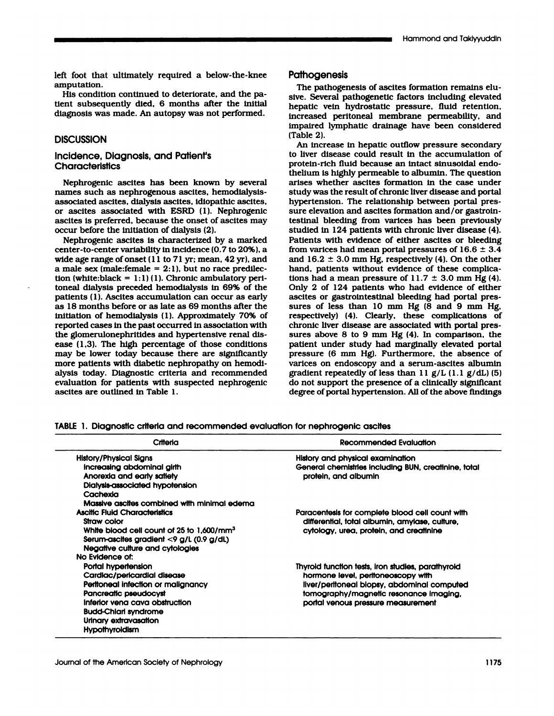left foot that ultimately required a below-the-knee amputation.

left foot that ultimately required a below-the-knee<br>amputation.<br>His condition continued to deteriorate, and the pa-<br>tient subsequently died, 6 months after the initial<br>diagnosis was made. An autopsy was not performed. diagnost that ultimately required a below-the-kneed amputation.<br>His condition continued to deteriorate, and the patient subsequently died, 6 months after the initial<br>diagnosis was made. An autopsy was not performed diagnosis was made. An autopsy was not performed.<br>DISCUSSION<br>Incidence, Diagnosis, and Patient's

# **DISCUSSION**

# **Characteristics**

Nephrogenic ascites has been known by several names such as nephrogenous ascites, hemodialysisnames Sidence, Diagnosis, and Patient's<br>Characteristics<br>Nephrogenic ascites has been known by senames such as nephrogenous ascites, hemodial<br>associated ascites, dialysis ascites, idiopathic as Characteristics<br>
Nephrogenic ascites has been known by several<br>
names such as nephrogenous ascites, hemodialysis-<br>
associated ascites, dialysis ascites, idiopathic ascites,<br>
or ascites associated with ESRD (1). Nephrogenic Nephrogenic ascites has been known by several<br>names such as nephrogenous ascites, hemodialysis-<br>associated ascites, dialysis ascites, idiopathic ascites,<br>or ascites associated with ESRD (1). Nephrogenic<br>ascites is preferre Nephrogenic ascites has been known by several<br>names such as nephrogenous ascites, hemodialysis-<br>associated ascites, dialysis ascites, idiopathic ascites,<br>or ascites associated with ESRD (1). Nephrogenic<br>ascites is preferre names such as nephrogenous ascites, hen<br>associated ascites, dialysis ascites, idiopath<br>or ascites associated with ESRD (1). Ne<br>ascites is preferred, because the onset of a<br>occur before the initiation of dialysis (2).<br>Nephr sociated ascites, dialysis ascites, idiopathic ascites,<br>ascites associated with ESRD (1). Nephrogenic<br>cites is preferred, because the onset of ascites may<br>cur before the initiation of dialysis (2).<br>Nephrogenic ascites is c

or ascites associated with ESRD (1). Nephrogenic<br>ascites is preferred, because the onset of ascites may<br>occur before the initiation of dialysis (2).<br>Nephrogenic ascites is characterized by a marked<br>center-to-center variabi ascites is preferred, because the onset of ascites may<br>occur before the initiation of dialysis (2).<br>Nephrogenic ascites is characterized by a marked<br>center-to-center variability in incidence (0.7 to 20%), a<br>wide age range occur before the initiation of dialysis (2).<br>
Nephrogenic ascites is characterized by a mar<br>
center-to-center variability in incidence (0.7 to 20%<br>
wide age range of onset (11 to 71 yr; mean, 42 yr), a<br>
a male sex (male:f Nephrogenic ascites is characterized by a markecenter-to-center variability in incidence (0.7 to 20%), wide age range of onset (11 to 71 yr; mean, 42 yr), and a male sex (male:female = 2:1), but no race predilection (white center-to-center variability in incidence (0.7 to 20%), a<br>wide age range of onset (11 to 71 yr; mean, 42 yr), and<br>a male sex (male:female = 2:1), but no race predilec-<br>tion (white:black = 1:1) (1). Chronic ambulatory peri wide age range of onset  $(11$  to  $71$  yr; mean,  $42$  yr), and<br>a male sex (male:female =  $2:1$ ), but no race predilec-<br>tion (white:black =  $1:1$ )  $(1)$ . Chronic ambulatory peri-<br>toneal dialysis preceded hemodialysis in 69% a male sex (male:female = 2:1), but no race predilection (white:black = 1:1) (1). Chronic ambulatory peritoneal dialysis preceded hemodialysis in 69% of the patients (1). Ascites accumulation can occur as early as 18 mont tion (white:black =  $1:1$ ) (1). Chronic ambulatory peritoneal dialysis preceded hemodialysis in 69% of the patients (1). Ascites accumulation can occur as early as 18 months before or as late as 69 months after the initia toneal dialysis preceded hemodialysis in 69% of the<br>patients (1). Ascites accumulation can occur as early<br>as 18 months before or as late as 69 months after the<br>initiation of hemodialysis (1). Approximately 70% of<br>reported patients (1). Ascites accumulation can occur as early<br>as 18 months before or as late as 69 months after the<br>initiation of hemodialysis (1). Approximately 70% of<br>reported cases in the past occurred in association with<br>the g as 18 months before or as late as 69 months after the<br>initiation of hemodialysis (1). Approximately 70% of<br>reported cases in the past occurred in association with<br>the glomerulonephritides and hypertensive renal dis-<br>ease ( initiation of hemodialysis (1). Approximately 70% of<br>reported cases in the past occurred in association with<br>the glomerulonephritides and hypertensive renal dis-<br>ease (1,3). The high percentage of those conditions<br>may be l reported cases in the past occurred in association with elomerulonephritides and hypertensive renal case (1,3). The high percentage of those conditionary be lower today because there are significan more patients with diabe the glomerulonephritides and hypertensive renal disease (1,3). The high percentage of those conditions<br>may be lower today because there are significantly<br>more patients with diabetic nephropathy on hemodi-<br>alysis today. Dia ease (1,3). The high percentage of those conditions<br>may be lower today because there are significantly<br>more patients with diabetic nephropathy on hemodi-<br>alysis today. Diagnostic criteria and recommended<br>evaluation for pat evaluation for patients with suspected nephrogenic do not support the presence of<br>ascites are outlined in Table 1.<br>TABLE 1. Diagnostic criteria and recommended evaluation for nephrogenic ascites

## **Pathogenesis**

**The pathogenesis<br>The pathogenesis of ascites formation remains elu-**<br>Ve. Several pathogenetic factors including elevated Pathogenesis<br>The pathogenesis of ascites formation remains elu-<br>sive. Several pathogenetic factors including elevated<br>hepatic vein hydrostatic pressure, fluid retention, **Pathogenesis**<br>The pathogenesis of ascites formation remains elu<br>sive. Several pathogenetic factors including elevate<br>hepatic vein hydrostatic pressure, fluid retention<br>increased peritoneal membrane permeability, and **Pathogenesis**<br>The pathogenesis of ascites formation remains elu-<br>sive. Several pathogenetic factors including elevated<br>hepatic vein hydrostatic pressure, fluid retention,<br>increased peritoneal membrane permeability, and<br>im The pathogenesis of ascites formation remains elu-<br>sive. Several pathogenetic factors including elevated<br>hepatic vein hydrostatic pressure, fluid retention,<br>increased peritoneal membrane permeability, and<br>impaired lymphati hepatic vein hydrostatic pressure, fluid retention,<br>increased peritoneal membrane permeability, and<br>impaired lymphatic drainage have been considered<br>(Table 2).<br>An increase in hepatic outflow pressure secondary hepatic vein hydrostatic pressure, illud retention,<br>increased peritoneal membrane permeability, and<br>impaired lymphatic drainage have been considered<br>(Table 2).<br>An increase in hepatic outflow pressure secondary<br>to liver dis

impaired lymphatic drainage have been consider<br>(Table 2).<br>An increase in hepatic outflow pressure seconda<br>to liver disease could result in the accumulation<br>protein-rich fluid because an intact sinusoidal end<br>thelium is hig Table 2).<br>
An increase in hepatic outflow pressure secondary<br>
to liver disease could result in the accumulation of<br>
protein-rich fluid because an intact sinusoidal endo-<br>
thelium is highly permeable to albumin. The questio An increase in hepatic outflow pressure secondary<br>to liver disease could result in the accumulation of<br>protein-rich fluid because an intact sinusoidal endo-<br>thelium is highly permeable to albumin. The question<br>arises wheth to liver disease could result in the accumulation of<br>protein-rich fluid because an intact sinusoidal endo-<br>the lium is highly permeable to albumin. The question<br>arises whether ascites formation in the case under<br>study was protein-rich fluid because an intact sinusoidal endo-<br>thelium is highly permeable to albumin. The question<br>arises whether ascites formation in the case under<br>study was the result of chronic liver disease and portal<br>hyperte thelium is highly permeable to albumin. The question<br>arises whether ascites formation in the case under<br>study was the result of chronic liver disease and portal<br>hypertension. The relationship between portal pres-<br>sure elev arises whether ascites formation in the case under Patients with evidence of either ascites or bleeding from varices had mean portal pressures of  $16.6 \pm 3.4$ sure elevation and ascites formation and/or gastroin-<br>testinal bleeding from varices has been previously<br>studied in 124 patients with chronic liver disease (4).<br>Patients with evidence of either ascites or bleeding<br>from var testinal bleeding from varices has been previously<br>studied in 124 patients with chronic liver disease (4).<br>Patients with evidence of either ascites or bleeding<br>from varices had mean portal pressures of  $16.6 \pm 3.4$ <br>and  $1$ studied in 124 patients with chronic liver disease<br>Patients with evidence of either ascites or bleed<br>from varices had mean portal pressures of  $16.6 \pm$ <br>and  $16.2 \pm 3.0$  mm Hg, respectively (4). On the o<br>hand, patients wit Patients with evidence of either ascites or bleeding<br>from varices had mean portal pressures of  $16.6 \pm 3.4$ <br>and  $16.2 \pm 3.0$  mm Hg, respectively (4). On the other<br>hand, patients without evidence of these complica-<br>tions h from varices had mean portal pressures of  $16.6 \pm 3.4$  and  $16.2 \pm 3.0$  mm Hg, respectively (4). On the other hand, patients without evidence of these complications had a mean pressure of  $11.7 \pm 3.0$  mm Hg (4). Only 2 of hand, patients without evidence of these complica-<br>tions had a mean pressure of  $11.7 \pm 3.0$  mm Hg (4).<br>Only 2 of 124 patients who had evidence of either<br>ascites or gastrointestinal bleeding had portal pres-<br>sures of less tions had a mean pressure of  $11.7 \pm 3.0$  mm Hg (4).<br>Only 2 of 124 patients who had evidence of either ascites or gastrointestinal bleeding had portal pressures of less than 10 mm Hg (8 and 9 mm Hg, respectively) (4). Cle Only 2 of 124 patients who had evidence of either<br>ascites or gastrointestinal bleeding had portal pres-<br>sures of less than 10 mm Hg (8 and 9 mm H<sub>j</sub><br>respectively) (4). Clearly, these complications of<br>chronic liver disease ascites or gastrointestinal bleeding had portal pressures of less than 10 mm Hg (8 and 9 mm Hg, respectively) (4). Clearly, these complications of chronic liver disease are associated with portal pressures above 8 to 9 mm sures of less than 10 mm Hg ( $\overline{8}$  and  $\overline{9}$  mm Hg, respectively) (4). Clearly, these complications of chronic liver disease are associated with portal pressures above 8 to 9 mm Hg (4). In comparison, the patient un respectively) (4). Clearly, these complications of<br>chronic liver disease are associated with portal pres-<br>sures above 8 to 9 mm Hg (4). In comparison, the<br>patient under study had marginally elevated portal<br>pressure (6 mm H chronic liver disease are associated with portal pressures above 8 to 9 mm Hg (4). In comparison, the patient under study had marginally elevated portal pressure (6 mm Hg). Furthermore, the absence of varices on endoscopy sures above 8 to 9 mm Hg (4). In comparison, the patient under study had marginally elevated portal pressure (6 mm Hg). Furthermore, the absence of varices on endoscopy and a serum-ascites albumin gradient repeatedly of l patient under study had marginally elevated porta<br>pressure (6 mm Hg). Furthermore, the absence of<br>varices on endoscopy and a serum-ascites albuming<br>gradient repeatedly of less than 11 g/L (1.1 g/dL) (5<br>do not support the p pressure (6 mm Hg). Furthermore, the absence of varices on endoscopy and a serum-ascites albuming<br>gradient repeatedly of less than  $11$  g/L  $(1.1$  g/dL) (5)<br>do not support the presence of a clinically significant<br>degree o

|  |  |  |  |  | TABLE 1. Diagnostic criteria and recommended evaluation for nephrogenic ascites |  |  |  |  |
|--|--|--|--|--|---------------------------------------------------------------------------------|--|--|--|--|
|--|--|--|--|--|---------------------------------------------------------------------------------|--|--|--|--|

| Criteria                                              | Recommended Evaluation                               |
|-------------------------------------------------------|------------------------------------------------------|
| <b>History/Physical Signs</b>                         | History and physical examination                     |
| Increasing abdominal girth                            | General chemistries including BUN, creatinine, total |
| Anorexia and early satiety                            | protein, and albumin                                 |
| Dialysis-associated hypotension                       |                                                      |
| Cachexia                                              |                                                      |
| Massive ascites combined with minimal edema           |                                                      |
| <b>Ascitic Fluid Characteristics</b>                  | Paracentesis for complete blood cell count with      |
| Straw color                                           | differential, total albumin, amylase, culture,       |
| White blood cell count of 25 to 1.600/mm <sup>3</sup> | cytology, urea, protein, and creatinine              |
| Serum-ascites gradient <9 g/L (0.9 g/dL)              |                                                      |
| Negative culture and cytologies                       |                                                      |
| No Evidence of:                                       |                                                      |
| Portal hypertension                                   | Thyroid function tests, iron studies, parathyroid    |
| Cardiac/pericardial disease                           | hormone level, peritoneoscopy with                   |
| Peritoneal infection or malianancy                    | liver/peritoneal biopsy, abdominal computed          |
| <b>Pancreatic pseudocyst</b>                          | tomography/magnetic resonance imaging,               |
| Inferior vena cava obstruction                        | portal venous pressure measurement                   |
| <b>Budd-Chiari syndrome</b>                           |                                                      |
| Urinary extravasation                                 |                                                      |
| Hypothyroidism                                        |                                                      |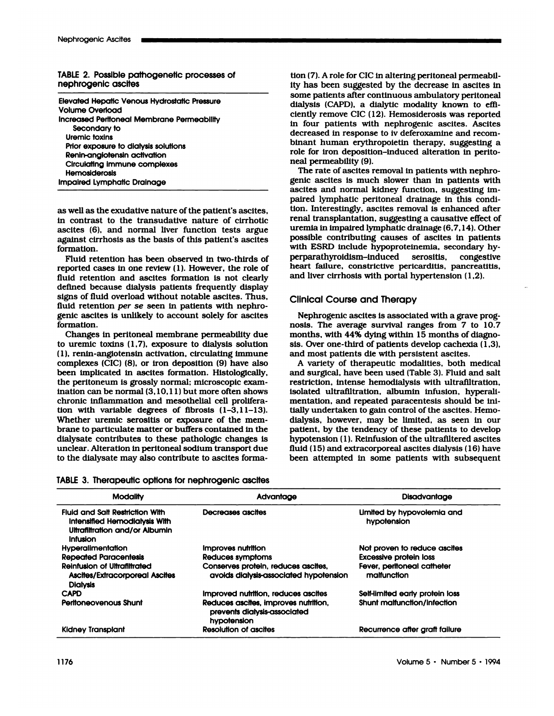| nephrogenic ascites         | TABLE 2. Possible pathogenetic processes of  |
|-----------------------------|----------------------------------------------|
|                             | Elevated Hepatic Venous Hydrostatic Pressure |
| <b>Volume Overload</b>      |                                              |
| Secondary to                | Increased Peritoneal Membrane Permeability   |
| Uremic toxins               |                                              |
|                             | Prior exposure to dialysis solutions         |
|                             | Renin-angiotensin activation                 |
|                             | Circulating immune complexes                 |
| <b>Hemosiderosis</b>        |                                              |
| Impaired Lymphatic Drainage |                                              |

Nephrogenic Ascites<br>TABLE 2. Possible pathogenetic processes of<br>nephrogenic ascites Nephrogenic Ascites<br>TABLE 2. Possible pathoge<br>nephrogenic ascites

as well as the exudative nature of the patient's ascites, impaired Lymphanc Drainage<br>
as well as the exudative nature of the patient's ascites,<br>
in contrast to the transudative nature of cirrhotic<br>
ascites (6), and normal liver function tests argue<br>
against cirrhosis as the basis as well as the exudative nature of the patient's ascites,<br>in contrast to the transudative nature of cirrhotic<br>ascites (6), and normal liver function tests argue<br>against cirrhosis as the basis of this patient's ascites<br>form formation. against cirrhosis as the basis of this patient's ascites<br>formation.<br>Fluid retention has been observed in two-thirds of ascites (6), and normal liver function tests argue<br>against cirrhosis as the basis of this patient's ascites<br>formation.<br>Fluid retention has been observed in two-thirds of<br>reported cases in one review (1). However, the role

against cirrhosis as the basis of this patient's ascites<br>formation.<br>Fluid retention has been observed in two-thirds of<br>reported cases in one review (1). However, the role of<br>fluid retention and ascites formation is not cle fluid retention has been observed in two-thirds of<br>reported cases in one review (1). However, the role of<br>fluid retention and ascites formation is not clearly<br>defined because dialysis patients frequently display<br>signs of f reported cases in one review (1). However, the rold<br>fluid retention and ascites formation is not clear<br>defined because dialysis patients frequently disp<br>signs of fluid overload without notable ascites. Th<br>fluid retention fluid retention and ascites formation is not clearly<br>defined because dialysis patients frequently display<br>signs of fluid overload without notable ascites. Thus,<br>fluid retention *per se* seen in patients with nephro-<br>genic formation. gns of fluid overload without notable ascites. Thus,<br>id retention *per se* seen in patients with nephro-<br>nic ascites is unlikely to account solely for ascites<br>rmation.<br>Changes in peritoneal membrane permeability due<br>uremic

fluid retention *per se* seen in patients with nephro-<br>genic ascites is unlikely to account solely for ascites<br>formation.<br>Changes in peritoneal membrane permeability due<br>to uremic toxins (1,7), exposure to dialysis solutio genic ascites is unlikely to account solely for ascites<br>formation.<br>Changes in peritoneal membrane permeability due<br>to uremic toxins (1,7), exposure to dialysis solution<br>(1), renin-angiotensin activation, circulating immune formation.<br>Changes in peritoneal membrane permeability due<br>to uremic toxins (1,7), exposure to dialysis solution<br>(1), renin-angiotensin activation, circulating immune<br>complexes (CIC) (8), or iron deposition (9) have also<br>b Changes in peritoneal membrane permeability du<br>to uremic toxins (1,7), exposure to dialysis solution.<br>(1), renin-anglotensin activation, circulating immum<br>complexes (CIC) (8), or iron deposition (9) have all<br>been implicate to uremic toxins  $(1, 7)$ , exposure to dialysis soluti $(1)$ , renin-anglotensin activation, circulating immu complexes  $(CIC)$   $(8)$ , or iron deposition  $(9)$  have al been implicated in ascites formation. Histological the pe (1), renin-anglotensin activation, circulating immune complexes (CIC) (8), or iron deposition (9) have also been implicated in ascites formation. Histologically, the peritoneum is grossly normal; microscopic examination c complexes (CIC) (8), or iron deposition (9) have a<br>been implicated in ascites formation. Histologica<br>the peritoneum is grossly normal; microscopic ex-<br>ination can be normal (3,10,11) but more often sh<br>chronic inflammation been implicated in ascites formation. Histologically, the peritoneum is grossly normal; microscopic examination can be normal (3,10,11) but more often shows chronic inflammation and mesothelial cell proliferation with vari ination can be normal  $(3,10,11)$  but more often shows<br>chronic inflammation and mesothelial cell prolifera-<br>tion with variable degrees of fibrosis  $(1-3,11-13)$ .<br>Whether uremic serositis or exposure of the mem-<br>brane to p chronic inflammation and mesothelial cell proliteration with variable degrees of fibrosis  $(1-3, 11-13)$ .<br>Whether uremic serositis or exposure of the membrane to particulate matter or buffers contained in the dialysate co Whether uremic serositis or exposure of the mediance to particulate matter or buffers contained in dialysate contributes to these pathologic changes unclear. Alteration in peritoneal sodium transport to the dialysate may a Branch of paraculate matter of bands contained in the dialysate contributes to these pathologic changes is lunclear. Alteration in peritoneal sodium transport due to the dialysate may also contribute to ascites forma-<br>TABL

| TABLE 3. Therapeutic options for nephrogenic ascites |  |  |  |  |  |  |
|------------------------------------------------------|--|--|--|--|--|--|
|------------------------------------------------------|--|--|--|--|--|--|

tion (7). A role for CIC in altering peritoneal permet<br>ity has been suggested by the decrease in ascit tion (7). A role for CIC in altering peritoneal permeabil-<br>ity has been suggested by the decrease in ascites in<br>some patients after continuous ambulatory peritoneal<br>dialysis (CAPD), a dialytic modality known to effition (7). A role for CIC in altering peritoneal permeabil-<br>ity has been suggested by the decrease in ascites in<br>some patients after continuous ambulatory peritoneal<br>dialysis (CAPD), a dialytic modality known to effi-<br>cient dialy has been suggested by the decrease in ascites in<br>ity has been suggested by the decrease in ascites in<br>some patients after continuous ambulatory peritoneal<br>dialysis (CAPD), a dialytic modality known to effi-<br>ciently r some patients after continuous ambulatory peritoneal<br>dialysis (CAPD), a dialytic modality known to effi-<br>ciently remove CIC (12). Hemosiderosis was reported<br>in four patients with nephrogenic ascites. Ascites<br>decreased in r some patients after continuous ambulatory peritoneal<br>dialysis (CAPD), a dialytic modality known to effi-<br>ciently remove CIC (12). Hemosiderosis was reported<br>in four patients with nephrogenic ascites. Ascites<br>decreased in r ciently remove CIC (12). Hemosiderosis was reported<br>in four patients with nephrogenic ascites. Ascites<br>decreased in response to iv deferoxamine and recom-<br>binant human erythropoietin therapy, suggesting a<br>role for iron dep in four patients with nephrogenic ascites. Ascites<br>decreased in response to iv deferoxamine and recom-<br>binant human erythropoietin therapy, suggesting a<br>role for iron deposition-induced alteration in perito-<br>neal permeabil creased in response to iv deferoxamine and reconant human erythropoietin therapy, suggestine for iron deposition–induced alteration in per<br>le for iron deposition–induced alteration in per<br>lead permeability (9).<br>The rate of

binant human erythropoietin therapy, suggesting a<br>role for iron deposition-induced alteration in perito-<br>neal permeability (9).<br>The rate of ascites removal in patients with nephro-<br>genic ascites is much slower than in pati role for iron deposition–induced alteration in perito-<br>neal permeability (9).<br>The rate of ascites removal in patients with nephro-<br>genic ascites is much slower than in patients with<br>ascites and normal kidney function, sugg The rate of ascites removal in patients with nephrogenic ascites is much slower than in patients with ascites and normal kidney function, suggesting impaired lymphatic peritoneal drainage in this condition. Interestingly, ascites and normal kidney function, suggesting im-<br>paired lymphatic peritoneal drainage in this condi-<br>tion. Interestingly, ascites removal is enhanced after<br>renal transplantation, suggesting a causative effect of<br>uremia i paired lymphatic peritoneal drainage in this condition. Interestingly, ascites removal is enhanced after renal transplantation, suggesting a causative effect of uremia in impaired lymphatic drainage (6,7,14). Other possibl tion. Interestingly, ascites removal is enhanced after<br>renal transplantation, suggesting a causative effect of<br>uremia in impaired lymphatic drainage (6,7,14). Other<br>possible contributing causes of ascites in patients<br>with renal transplantation, suggesting a causative effect of<br>uremia in impaired lymphatic drainage (6,7,14). Other<br>possible contributing causes of ascites in patients<br>with ESRD include hypoproteinemia, secondary hy-<br>perparathyr uremia in impaired lymphatic drainage (6,7,14). Other<br>possible contributing causes of ascites in patients<br>with ESRD include hypoproteinemia, secondary hy-<br>perparathyroidism-induced serositis, congestive<br>heart failure, cons possible contributing causes of ascites in patients heart failure, constrictive pericarditis, pancreatitis,<br>and liver cirrhosis with portal hypertension (1,2).<br>Clinical Course and Therapy

Nephrogenic ascites is associated with a grave prognosis. The average survival ranges from 7 to 10.7 months, with 44% dying within 15 months of diagnonosis. The average survival ranges from 7 to 10.7 Clinical Course and Therapy<br>Nephrogenic ascites is associated with a grave pr<br>nosis. The average survival ranges from 7 to 1<br>months, with 44% dying within 15 months of diag<br>sis. Over one-third of patients develop cachexia Nephrogenic ascites is associated with a grave prognosis. The average survival ranges from 7 to 10.7 months, with 44% dying within 15 months of diagnosis. Over one-third of patients develop cachexia (1,3), and most patient nosis. The average survival ranges from 7 to 10.7<br>months, with 44% dying within 15 months of diagno-<br>sis. Over one-third of patients develop cachexia (1,3),<br>and most patients die with persistent ascites.<br>A variety of thera

sis. Over one-third of patients develop cachexia (1, and most patients die with persistent ascites.<br>A variety of therapeutic modalities, both mediand surgical, have been used (Table 3). Fluid and s<br>restriction, intense hem and most patients die with persistent ascites.<br>
A variety of therapeutic modalities, both medical<br>
and surgical, have been used (Table 3). Fluid and salt<br>
restriction, intense hemodialysis with ultrafiltration,<br>
isolated u and surgical, have been used (Table 3). Fluid and s<br>restriction, intense hemodialysis with ultrafiltratic<br>isolated ultrafiltration, albumin infusion, hypera<br>mentation, and repeated paracentesis should be it<br>itally undertak restriction, intense hemodialysis with ultrafiltration, isolated ultrafiltration, albumin infusion, hyperali-<br>mentation, and repeated paracentesis should be initially undertaken to gain control of the ascites. Hemo-<br>dialys isolated ultrafiltration, albumin infusion, hyperalimentation, and repeated paracentesis should be initially undertaken to gain control of the ascites. Hemo-<br>dialysis, however, may be limited, as seen in our<br>patient, by the tendency of these patients to develop<br>hypotension dialysis, however, may be limited, as seen in ou<br>patient, by the tendency of these patients to develo<br>hypotension (1). Reinfusion of the ultrafiltered ascite<br>fluid (15) and extracorporeal ascites dialysis (16) have<br>been at

| <b>Modality</b>                                                                                                              | Advantage                                                                           | <b>Disadvantage</b>                       |
|------------------------------------------------------------------------------------------------------------------------------|-------------------------------------------------------------------------------------|-------------------------------------------|
| <b>Fluid and Salt Restriction With</b><br>Intensified Hemodialysis With<br>Ultrafiltration and/or Albumin<br><b>Infusion</b> | Decreases ascites                                                                   | Limited by hypovolemia and<br>hypotension |
| <b>Hyperalimentation</b>                                                                                                     | Improves nutrition                                                                  | Not proven to reduce ascites              |
| <b>Repeated Paracentesis</b>                                                                                                 | Reduces symptoms                                                                    | <b>Excessive protein loss</b>             |
| Reinfusion of Ultrafiltrated<br><b>Ascites/Extracorporeal Ascites</b><br><b>Dialysis</b>                                     | Conserves protein, reduces ascites,<br>avoids dialysis-associated hypotension       | Fever, peritoneal catheter<br>malfunction |
| <b>CAPD</b>                                                                                                                  | Improved nutrition, reduces ascites                                                 | Self-limited early protein loss           |
| Peritoneovenous Shunt                                                                                                        | Reduces ascites, improves nutrition,<br>prevents dialysis-associated<br>hypotension | Shunt malfunction/infection               |
| <b>Kidney Transplant</b>                                                                                                     | Resolution of ascites                                                               | Recurrence after graft failure            |